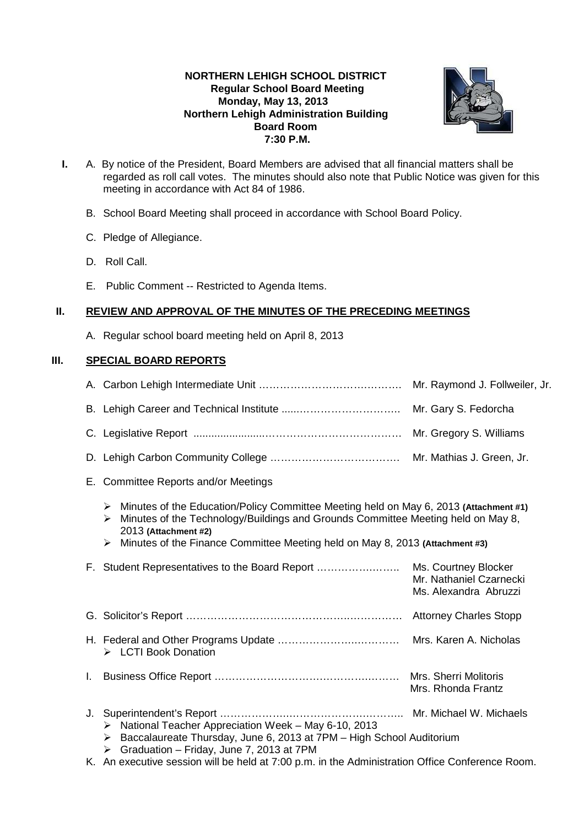# **NORTHERN LEHIGH SCHOOL DISTRICT Regular School Board Meeting Monday, May 13, 2013 Northern Lehigh Administration Building Board Room 7:30 P.M.**



- **I.** A. By notice of the President, Board Members are advised that all financial matters shall be regarded as roll call votes. The minutes should also note that Public Notice was given for this meeting in accordance with Act 84 of 1986.
	- B. School Board Meeting shall proceed in accordance with School Board Policy.
	- C. Pledge of Allegiance.
	- D. Roll Call.
	- E. Public Comment -- Restricted to Agenda Items.

## **II. REVIEW AND APPROVAL OF THE MINUTES OF THE PRECEDING MEETINGS**

A. Regular school board meeting held on April 8, 2013

# **III. SPECIAL BOARD REPORTS**

|    |                                                                                                                                                                                                                                                                                                                      | Mr. Raymond J. Follweiler, Jr.                                           |  |
|----|----------------------------------------------------------------------------------------------------------------------------------------------------------------------------------------------------------------------------------------------------------------------------------------------------------------------|--------------------------------------------------------------------------|--|
|    |                                                                                                                                                                                                                                                                                                                      | Mr. Gary S. Fedorcha                                                     |  |
|    |                                                                                                                                                                                                                                                                                                                      | Mr. Gregory S. Williams                                                  |  |
|    |                                                                                                                                                                                                                                                                                                                      |                                                                          |  |
|    | E. Committee Reports and/or Meetings                                                                                                                                                                                                                                                                                 |                                                                          |  |
|    | Minutes of the Education/Policy Committee Meeting held on May 6, 2013 (Attachment #1)<br>➤<br>Minutes of the Technology/Buildings and Grounds Committee Meeting held on May 8,<br>➤<br>2013 (Attachment #2)<br>Minutes of the Finance Committee Meeting held on May 8, 2013 (Attachment #3)<br>$\blacktriangleright$ |                                                                          |  |
|    | F. Student Representatives to the Board Report                                                                                                                                                                                                                                                                       | Ms. Courtney Blocker<br>Mr. Nathaniel Czarnecki<br>Ms. Alexandra Abruzzi |  |
|    |                                                                                                                                                                                                                                                                                                                      |                                                                          |  |
|    | > LCTI Book Donation                                                                                                                                                                                                                                                                                                 |                                                                          |  |
| Τ. |                                                                                                                                                                                                                                                                                                                      | Mrs. Sherri Molitoris<br>Mrs. Rhonda Frantz                              |  |
| J. | $\triangleright$ National Teacher Appreciation Week - May 6-10, 2013<br>Baccalaureate Thursday, June 6, 2013 at 7PM - High School Auditorium<br>➤<br>Graduation - Friday, June 7, 2013 at 7PM<br>➤                                                                                                                   | Mr. Michael W. Michaels                                                  |  |
|    | K. An executive session will be held at 7:00 p.m. in the Administration Office Conference Room.                                                                                                                                                                                                                      |                                                                          |  |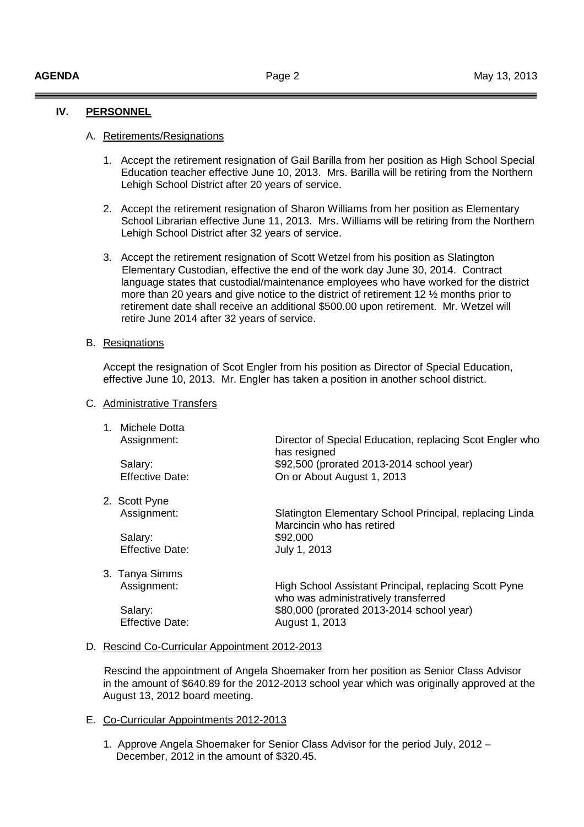## **IV. PERSONNEL**

#### A. Retirements/Resignations

- 1. Accept the retirement resignation of Gail Barilla from her position as High School Special Education teacher effective June 10, 2013. Mrs. Barilla will be retiring from the Northern Lehigh School District after 20 years of service.
- 2. Accept the retirement resignation of Sharon Williams from her position as Elementary School Librarian effective June 11, 2013. Mrs. Williams will be retiring from the Northern Lehigh School District after 32 years of service.
- 3. Accept the retirement resignation of Scott Wetzel from his position as Slatington Elementary Custodian, effective the end of the work day June 30, 2014. Contract language states that custodial/maintenance employees who have worked for the district more than 20 years and give notice to the district of retirement 12 ½ months prior to retirement date shall receive an additional \$500.00 upon retirement. Mr. Wetzel will retire June 2014 after 32 years of service.

#### B. Resignations

 Accept the resignation of Scot Engler from his position as Director of Special Education, effective June 10, 2013. Mr. Engler has taken a position in another school district.

#### C. Administrative Transfers

| 1. Michele Dotta       |                                                                                      |
|------------------------|--------------------------------------------------------------------------------------|
| Assignment:            | Director of Special Education, replacing Scot Engler who<br>has resigned             |
| Salary:                | \$92,500 (prorated 2013-2014 school year)                                            |
| <b>Effective Date:</b> | On or About August 1, 2013                                                           |
| 2. Scott Pyne          |                                                                                      |
| Assignment:            | Slatington Elementary School Principal, replacing Linda<br>Marcincin who has retired |
| Salary:                | \$92,000                                                                             |
| <b>Effective Date:</b> | July 1, 2013                                                                         |
| 3. Tanya Simms         |                                                                                      |

 Assignment: High School Assistant Principal, replacing Scott Pyne who was administratively transferred Salary: \$80,000 (prorated 2013-2014 school year) Effective Date: August 1, 2013

#### D. Rescind Co-Curricular Appointment 2012-2013

 Rescind the appointment of Angela Shoemaker from her position as Senior Class Advisor in the amount of \$640.89 for the 2012-2013 school year which was originally approved at the August 13, 2012 board meeting.

#### E. Co-Curricular Appointments 2012-2013

1. Approve Angela Shoemaker for Senior Class Advisor for the period July, 2012 – December, 2012 in the amount of \$320.45.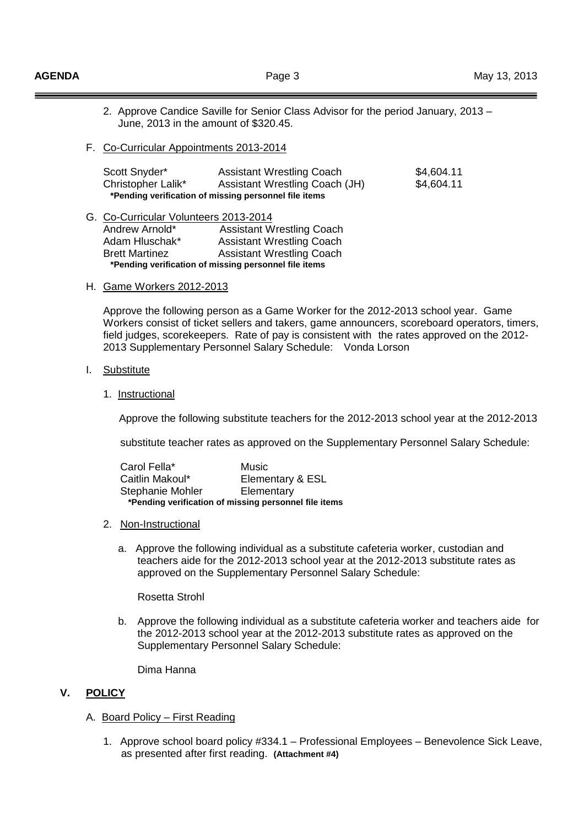- 2. Approve Candice Saville for Senior Class Advisor for the period January, 2013 June, 2013 in the amount of \$320.45.
- F. Co-Curricular Appointments 2013-2014

| Scott Snyder*                                         | <b>Assistant Wrestling Coach</b> | \$4,604.11 |  |  |  |
|-------------------------------------------------------|----------------------------------|------------|--|--|--|
| Christopher Lalik*                                    | Assistant Wrestling Coach (JH)   | \$4,604.11 |  |  |  |
| *Pending verification of missing personnel file items |                                  |            |  |  |  |

- G. Co-Curricular Volunteers 2013-2014 Andrew Arnold\* Assistant Wrestling Coach Adam Hluschak\* Assistant Wrestling Coach Brett Martinez Assistant Wrestling Coach  **\*Pending verification of missing personnel file items**
- H. Game Workers 2012-2013

 Approve the following person as a Game Worker for the 2012-2013 school year. Game Workers consist of ticket sellers and takers, game announcers, scoreboard operators, timers, field judges, scorekeepers. Rate of pay is consistent with the rates approved on the 2012- 2013 Supplementary Personnel Salary Schedule: Vonda Lorson

## I. Substitute

1. Instructional

Approve the following substitute teachers for the 2012-2013 school year at the 2012-2013

substitute teacher rates as approved on the Supplementary Personnel Salary Schedule:

| Carol Fella*                                          | Music            |  |
|-------------------------------------------------------|------------------|--|
| Caitlin Makoul*                                       | Elementary & ESL |  |
| Stephanie Mohler                                      | Elementary       |  |
| *Pending verification of missing personnel file items |                  |  |

## 2. Non-Instructional

 a. Approve the following individual as a substitute cafeteria worker, custodian and teachers aide for the 2012-2013 school year at the 2012-2013 substitute rates as approved on the Supplementary Personnel Salary Schedule:

#### Rosetta Strohl

 b. Approve the following individual as a substitute cafeteria worker and teachers aide for the 2012-2013 school year at the 2012-2013 substitute rates as approved on the Supplementary Personnel Salary Schedule:

Dima Hanna

## **V. POLICY**

- A. Board Policy First Reading
	- 1. Approve school board policy #334.1 Professional Employees Benevolence Sick Leave, as presented after first reading. **(Attachment #4)**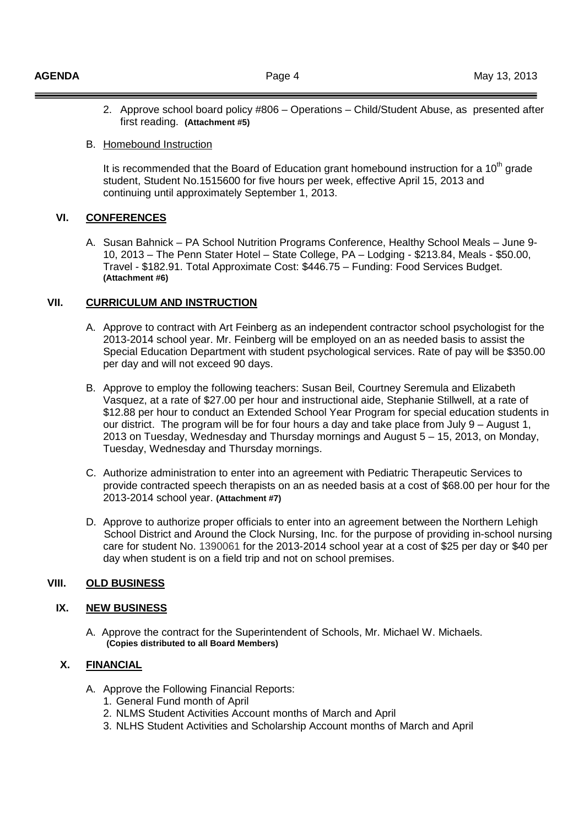2. Approve school board policy #806 – Operations – Child/Student Abuse, as presented after first reading. **(Attachment #5)** 

## B. Homebound Instruction

It is recommended that the Board of Education grant homebound instruction for a  $10<sup>th</sup>$  grade student, Student No.1515600 for five hours per week, effective April 15, 2013 and continuing until approximately September 1, 2013.

# **VI. CONFERENCES**

A. Susan Bahnick – PA School Nutrition Programs Conference, Healthy School Meals – June 9- 10, 2013 – The Penn Stater Hotel – State College, PA – Lodging - \$213.84, Meals - \$50.00, Travel - \$182.91. Total Approximate Cost: \$446.75 – Funding: Food Services Budget. **(Attachment #6)**

## **VII. CURRICULUM AND INSTRUCTION**

- A. Approve to contract with Art Feinberg as an independent contractor school psychologist for the 2013-2014 school year. Mr. Feinberg will be employed on an as needed basis to assist the Special Education Department with student psychological services. Rate of pay will be \$350.00 per day and will not exceed 90 days.
- B. Approve to employ the following teachers: Susan Beil, Courtney Seremula and Elizabeth Vasquez, at a rate of \$27.00 per hour and instructional aide, Stephanie Stillwell, at a rate of \$12.88 per hour to conduct an Extended School Year Program for special education students in our district. The program will be for four hours a day and take place from July 9 – August 1, 2013 on Tuesday, Wednesday and Thursday mornings and August 5 – 15, 2013, on Monday, Tuesday, Wednesday and Thursday mornings.
- C. Authorize administration to enter into an agreement with Pediatric Therapeutic Services to provide contracted speech therapists on an as needed basis at a cost of \$68.00 per hour for the 2013-2014 school year. **(Attachment #7)**
- D. Approve to authorize proper officials to enter into an agreement between the Northern Lehigh School District and Around the Clock Nursing, Inc. for the purpose of providing in-school nursing care for student No. 1390061 for the 2013-2014 school year at a cost of \$25 per day or \$40 per day when student is on a field trip and not on school premises.

# **VIII. OLD BUSINESS**

# **IX. NEW BUSINESS**

A. Approve the contract for the Superintendent of Schools, Mr. Michael W. Michaels.  **(Copies distributed to all Board Members)**

## **X. FINANCIAL**

- A. Approve the Following Financial Reports:
	- 1. General Fund month of April
	- 2. NLMS Student Activities Account months of March and April
	- 3. NLHS Student Activities and Scholarship Account months of March and April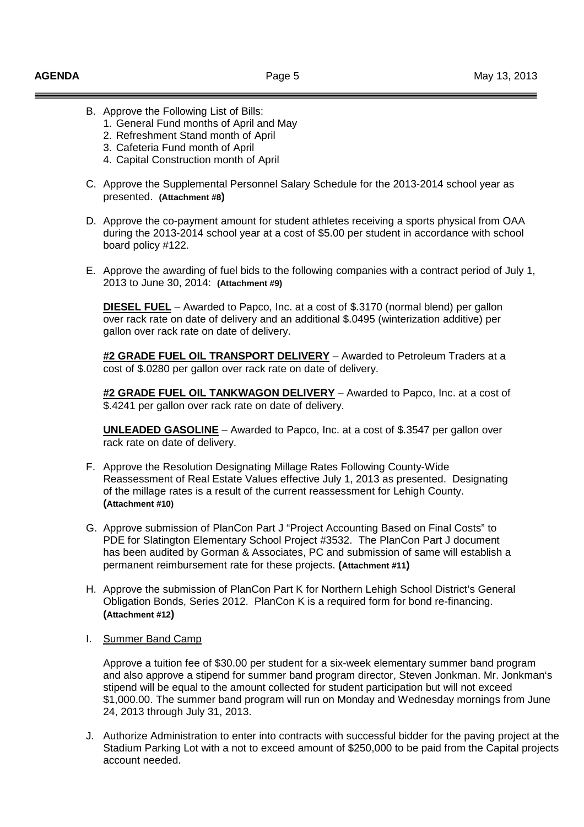- B. Approve the Following List of Bills:
	- 1. General Fund months of April and May
	- 2. Refreshment Stand month of April
	- 3. Cafeteria Fund month of April
	- 4. Capital Construction month of April
- C. Approve the Supplemental Personnel Salary Schedule for the 2013-2014 school year as presented. **(Attachment #8)**
- D. Approve the co-payment amount for student athletes receiving a sports physical from OAA during the 2013-2014 school year at a cost of \$5.00 per student in accordance with school board policy #122.
- E. Approve the awarding of fuel bids to the following companies with a contract period of July 1, 2013 to June 30, 2014: **(Attachment #9)**

**DIESEL FUEL** – Awarded to Papco, Inc. at a cost of \$.3170 (normal blend) per gallon over rack rate on date of delivery and an additional \$.0495 (winterization additive) per gallon over rack rate on date of delivery.

**#2 GRADE FUEL OIL TRANSPORT DELIVERY** – Awarded to Petroleum Traders at a cost of \$.0280 per gallon over rack rate on date of delivery.

**#2 GRADE FUEL OIL TANKWAGON DELIVERY** – Awarded to Papco, Inc. at a cost of \$.4241 per gallon over rack rate on date of delivery.

**UNLEADED GASOLINE** – Awarded to Papco, Inc. at a cost of \$.3547 per gallon over rack rate on date of delivery.

- F. Approve the Resolution Designating Millage Rates Following County-Wide Reassessment of Real Estate Values effective July 1, 2013 as presented. Designating of the millage rates is a result of the current reassessment for Lehigh County. **(Attachment #10)**
- G. Approve submission of PlanCon Part J "Project Accounting Based on Final Costs" to PDE for Slatington Elementary School Project #3532. The PlanCon Part J document has been audited by Gorman & Associates, PC and submission of same will establish a permanent reimbursement rate for these projects. **(Attachment #11)**
- H. Approve the submission of PlanCon Part K for Northern Lehigh School District's General Obligation Bonds, Series 2012. PlanCon K is a required form for bond re-financing. **(Attachment #12)**
- I. Summer Band Camp

Approve a tuition fee of \$30.00 per student for a six-week elementary summer band program and also approve a stipend for summer band program director, Steven Jonkman. Mr. Jonkman's stipend will be equal to the amount collected for student participation but will not exceed \$1,000.00. The summer band program will run on Monday and Wednesday mornings from June 24, 2013 through July 31, 2013.

J. Authorize Administration to enter into contracts with successful bidder for the paving project at the Stadium Parking Lot with a not to exceed amount of \$250,000 to be paid from the Capital projects account needed.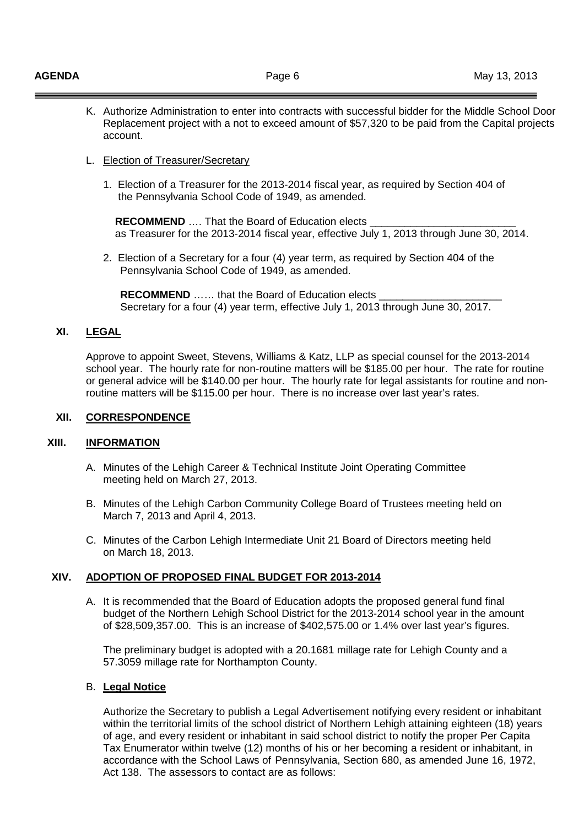- K. Authorize Administration to enter into contracts with successful bidder for the Middle School Door Replacement project with a not to exceed amount of \$57,320 to be paid from the Capital projects account.
- L. Election of Treasurer/Secretary
	- 1. Election of a Treasurer for the 2013-2014 fiscal year, as required by Section 404 of the Pennsylvania School Code of 1949, as amended.

**RECOMMEND** .... That the Board of Education elects as Treasurer for the 2013-2014 fiscal year, effective July 1, 2013 through June 30, 2014.

2. Election of a Secretary for a four (4) year term, as required by Section 404 of the Pennsylvania School Code of 1949, as amended.

**RECOMMEND** ...... that the Board of Education elects Secretary for a four (4) year term, effective July 1, 2013 through June 30, 2017.

## **XI. LEGAL**

Approve to appoint Sweet, Stevens, Williams & Katz, LLP as special counsel for the 2013-2014 school year. The hourly rate for non-routine matters will be \$185.00 per hour. The rate for routine or general advice will be \$140.00 per hour. The hourly rate for legal assistants for routine and nonroutine matters will be \$115.00 per hour. There is no increase over last year's rates.

## **XII. CORRESPONDENCE**

## **XIII. INFORMATION**

- A. Minutes of the Lehigh Career & Technical Institute Joint Operating Committee meeting held on March 27, 2013.
- B. Minutes of the Lehigh Carbon Community College Board of Trustees meeting held on March 7, 2013 and April 4, 2013.
- C. Minutes of the Carbon Lehigh Intermediate Unit 21 Board of Directors meeting held on March 18, 2013.

## **XIV. ADOPTION OF PROPOSED FINAL BUDGET FOR 2013-2014**

A. It is recommended that the Board of Education adopts the proposed general fund final budget of the Northern Lehigh School District for the 2013-2014 school year in the amount of \$28,509,357.00. This is an increase of \$402,575.00 or 1.4% over last year's figures.

The preliminary budget is adopted with a 20.1681 millage rate for Lehigh County and a 57.3059 millage rate for Northampton County.

## B. **Legal Notice**

 Authorize the Secretary to publish a Legal Advertisement notifying every resident or inhabitant within the territorial limits of the school district of Northern Lehigh attaining eighteen (18) years of age, and every resident or inhabitant in said school district to notify the proper Per Capita Tax Enumerator within twelve (12) months of his or her becoming a resident or inhabitant, in accordance with the School Laws of Pennsylvania, Section 680, as amended June 16, 1972, Act 138. The assessors to contact are as follows: